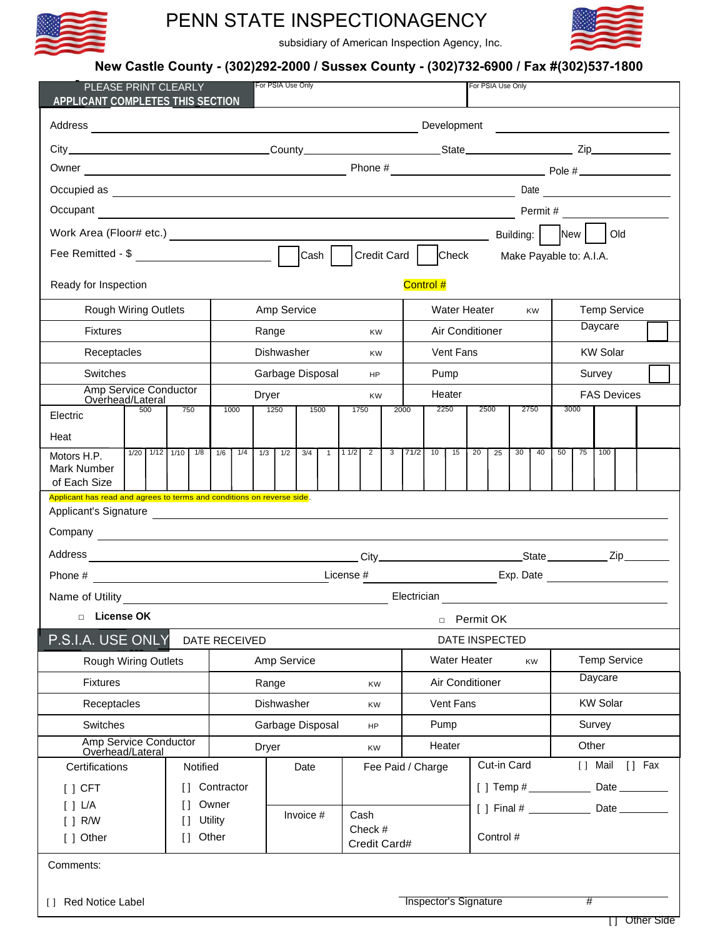

## PENN STATE INSPECTIONAGENCY



subsidiary of American Inspection Agency, Inc.

### **New Castle County - (302)292-2000 / Sussex County - (302)732-6900 / Fax #(302)537-1800**

| PLEASE PRINT CLEARLY<br>APPLICANT COMPLETES THIS SECTION               |                      |     |            |                  |                                                                              | For PSIA Use Only<br>For PSIA Use Only                                                                                                                                                                                                                                                                               |     |      |                         |                        |              |                 |                                  |           |      |           |                 |                    |                     |    |          |  |        |
|------------------------------------------------------------------------|----------------------|-----|------------|------------------|------------------------------------------------------------------------------|----------------------------------------------------------------------------------------------------------------------------------------------------------------------------------------------------------------------------------------------------------------------------------------------------------------------|-----|------|-------------------------|------------------------|--------------|-----------------|----------------------------------|-----------|------|-----------|-----------------|--------------------|---------------------|----|----------|--|--------|
|                                                                        |                      |     |            |                  |                                                                              | Development<br><u>and the contract of the contract of the contract of</u>                                                                                                                                                                                                                                            |     |      |                         |                        |              |                 |                                  |           |      |           |                 |                    |                     |    |          |  |        |
|                                                                        |                      |     |            |                  |                                                                              |                                                                                                                                                                                                                                                                                                                      |     |      |                         |                        |              |                 |                                  |           |      |           |                 |                    |                     |    |          |  |        |
|                                                                        |                      |     |            |                  |                                                                              |                                                                                                                                                                                                                                                                                                                      |     |      |                         |                        |              |                 |                                  |           |      |           |                 |                    |                     |    |          |  |        |
|                                                                        |                      |     |            |                  |                                                                              |                                                                                                                                                                                                                                                                                                                      |     |      |                         |                        |              |                 |                                  |           |      |           |                 |                    |                     |    |          |  |        |
| Occupant                                                               |                      |     |            |                  |                                                                              | Occupied as <b>a contract of the contract of the contract of the contract of the contract of the contract of the contract of the contract of the contract of the contract of the contract of the contract of the contract of the</b><br>Date<br>Permit #<br><u> 1989 - Johann Barbara, markazi bashkar (b. 1989)</u> |     |      |                         |                        |              |                 |                                  |           |      |           |                 |                    |                     |    |          |  |        |
|                                                                        |                      |     |            |                  |                                                                              |                                                                                                                                                                                                                                                                                                                      |     |      |                         |                        |              |                 |                                  |           | Old  |           |                 |                    |                     |    |          |  |        |
| Credit Card   Check<br>Cash  <br>Make Payable to: A.I.A.               |                      |     |            |                  |                                                                              |                                                                                                                                                                                                                                                                                                                      |     |      |                         |                        |              |                 |                                  |           |      |           |                 |                    |                     |    |          |  |        |
| Ready for Inspection                                                   |                      |     |            |                  |                                                                              |                                                                                                                                                                                                                                                                                                                      |     |      |                         |                        |              |                 | Control #                        |           |      |           |                 |                    |                     |    |          |  |        |
|                                                                        | Rough Wiring Outlets |     |            |                  |                                                                              | Amp Service                                                                                                                                                                                                                                                                                                          |     |      |                         |                        |              |                 | <b>Water Heater</b><br><b>KW</b> |           |      |           |                 |                    | <b>Temp Service</b> |    |          |  |        |
| <b>Fixtures</b>                                                        |                      |     |            |                  |                                                                              | Range                                                                                                                                                                                                                                                                                                                |     |      |                         | KW                     |              |                 | Air Conditioner                  |           |      |           | Daycare         |                    |                     |    |          |  |        |
| Receptacles                                                            |                      |     |            | Dishwasher       |                                                                              |                                                                                                                                                                                                                                                                                                                      |     |      | KW                      |                        |              | Vent Fans       |                                  |           |      |           | <b>KW Solar</b> |                    |                     |    |          |  |        |
| Switches                                                               |                      |     |            |                  | Garbage Disposal                                                             |                                                                                                                                                                                                                                                                                                                      |     |      |                         | <b>HP</b>              |              |                 | Pump                             |           |      |           |                 | Survey             |                     |    |          |  |        |
| Amp Service Conductor<br>Overhead/Lateral                              |                      |     |            | Dryer            |                                                                              |                                                                                                                                                                                                                                                                                                                      |     |      |                         | <b>KW</b>              |              |                 | Heater                           |           |      |           |                 | <b>FAS Devices</b> |                     |    |          |  |        |
| Electric                                                               | 500                  | 750 |            | 1000             |                                                                              | 1250                                                                                                                                                                                                                                                                                                                 |     | 1500 |                         | 1750                   |              | 2000            | 2250                             |           | 2500 |           |                 | 2750               | 3000                |    |          |  |        |
| Heat                                                                   |                      |     |            |                  |                                                                              |                                                                                                                                                                                                                                                                                                                      |     |      |                         |                        |              |                 |                                  |           |      |           |                 |                    |                     |    |          |  |        |
| Motors H.P.<br>Mark Number<br>of Each Size                             | $1/20$ $1/12$ $1/10$ |     | 1/8        | 1/6              | 1/4                                                                          | 1/3                                                                                                                                                                                                                                                                                                                  | 1/2 | 3/4  | $\mathbf{1}$            | 11/2<br>$\overline{2}$ | 3            | 71/2            | 10                               | 15        | 20   | 25        | 30              | 40                 | 50                  | 75 | 100      |  |        |
| Applicant has read and agrees to terms and conditions on reverse side. |                      |     |            |                  |                                                                              |                                                                                                                                                                                                                                                                                                                      |     |      |                         |                        |              |                 |                                  |           |      |           |                 |                    |                     |    |          |  |        |
|                                                                        |                      |     |            |                  |                                                                              |                                                                                                                                                                                                                                                                                                                      |     |      |                         |                        |              |                 |                                  |           |      |           |                 |                    |                     |    |          |  |        |
|                                                                        |                      |     |            |                  |                                                                              |                                                                                                                                                                                                                                                                                                                      |     |      |                         |                        |              |                 |                                  |           |      |           |                 |                    |                     |    |          |  |        |
| Phone #                                                                |                      |     |            |                  | License #<br><u> 1989 - Johann Barn, fransk politik amerikansk politik (</u> |                                                                                                                                                                                                                                                                                                                      |     |      |                         |                        |              |                 |                                  |           |      |           |                 |                    |                     |    |          |  |        |
| Name of Utility                                                        |                      |     |            |                  |                                                                              |                                                                                                                                                                                                                                                                                                                      |     |      |                         |                        |              |                 |                                  |           |      |           |                 |                    |                     |    |          |  |        |
| Electrician<br><b>License OK</b><br>$\Box$<br>Permit OK<br>$\Box$      |                      |     |            |                  |                                                                              |                                                                                                                                                                                                                                                                                                                      |     |      |                         |                        |              |                 |                                  |           |      |           |                 |                    |                     |    |          |  |        |
| P.S.I.A. USE ONLY<br>DATE RECEIVED                                     |                      |     |            |                  |                                                                              |                                                                                                                                                                                                                                                                                                                      |     |      |                         |                        |              |                 | DATE INSPECTED                   |           |      |           |                 |                    |                     |    |          |  |        |
| <b>Rough Wiring Outlets</b>                                            |                      |     |            |                  | Amp Service                                                                  |                                                                                                                                                                                                                                                                                                                      |     |      |                         |                        | Water Heater |                 |                                  |           |      | <b>KW</b> |                 |                    | <b>Temp Service</b> |    |          |  |        |
| <b>Fixtures</b>                                                        |                      |     |            | Range            |                                                                              |                                                                                                                                                                                                                                                                                                                      |     |      | <b>KW</b>               |                        |              | Air Conditioner |                                  |           |      |           | Daycare         |                    |                     |    |          |  |        |
| Receptacles                                                            |                      |     |            | Dishwasher       |                                                                              |                                                                                                                                                                                                                                                                                                                      |     |      | KW                      |                        |              | Vent Fans       |                                  |           |      |           | <b>KW Solar</b> |                    |                     |    |          |  |        |
| <b>Switches</b>                                                        |                      |     |            | Garbage Disposal |                                                                              |                                                                                                                                                                                                                                                                                                                      |     |      | HP                      | Pump                   |              |                 |                                  |           |      |           | Survey          |                    |                     |    |          |  |        |
| Amp Service Conductor<br>Overhead/Lateral                              |                      |     | Dryer      |                  |                                                                              |                                                                                                                                                                                                                                                                                                                      |     | KW   |                         |                        | Heater       |                 |                                  |           |      | Other     |                 |                    |                     |    |          |  |        |
| Certifications                                                         |                      |     | Notified   |                  |                                                                              |                                                                                                                                                                                                                                                                                                                      |     | Date |                         |                        |              |                 | Fee Paid / Charge                |           |      |           | Cut-in Card     |                    |                     |    | [ ] Mail |  | [] Fax |
| $[ ]$ CFT                                                              |                      |     | Contractor |                  |                                                                              |                                                                                                                                                                                                                                                                                                                      |     |      |                         |                        |              |                 |                                  |           |      |           |                 |                    |                     |    |          |  |        |
| Owner<br>[ ] L/A<br>$\Box$<br><b>Utility</b><br>[ ] R/W<br>Ħ           |                      |     |            | Invoice #        |                                                                              |                                                                                                                                                                                                                                                                                                                      |     | Cash |                         |                        |              |                 |                                  |           |      |           |                 |                    |                     |    |          |  |        |
| Other<br>[ ] Other<br>$\Box$                                           |                      |     |            |                  |                                                                              |                                                                                                                                                                                                                                                                                                                      |     |      | Check #<br>Credit Card# |                        |              |                 |                                  | Control # |      |           |                 |                    |                     |    |          |  |        |
| Comments:                                                              |                      |     |            |                  |                                                                              |                                                                                                                                                                                                                                                                                                                      |     |      |                         |                        |              |                 |                                  |           |      |           |                 |                    |                     |    |          |  |        |
|                                                                        |                      |     |            |                  |                                                                              |                                                                                                                                                                                                                                                                                                                      |     |      |                         |                        |              |                 |                                  |           |      |           |                 |                    |                     |    |          |  |        |
| [] Red Notice Label                                                    |                      |     |            |                  |                                                                              |                                                                                                                                                                                                                                                                                                                      |     |      |                         |                        |              |                 | <b>Inspector's Signature</b>     |           |      |           |                 |                    |                     | #  |          |  |        |